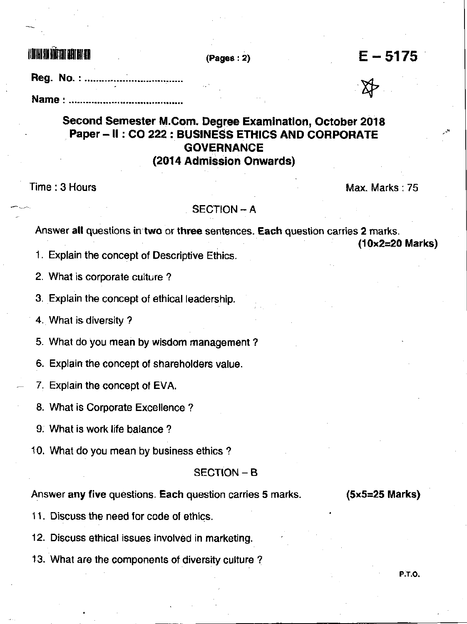$\text{minmin}$  and  $\text{max}$  (Pages : 2) E- 5175

&

Reg. No.: ...........

# Second Semester M.Com. Degree Examination, October 2018 Paper - II : CO 222 : BUSINESS ETHICS AND CORPORATE **GOVERNANCE** (2014 Admission Onwards)

Time : 3 Hours Maximum Company of the Company of the Max- Max- Marks : 75

### **SECTION - A**

Answer all questions in two or three sentences. Each question carries 2 marks.

(10x2=20 Marks)

1. Explain the concept of Descriptive Ethics.

2. What is corporate culture ?

3. Explain the concept of ethical leadership.

4. What is diversity?

5. What do you mean by wisdom management ?

6. Explain the concept of shareholders value.

7. Explain the concept of EVA.

8. What is Corporate Excellence ?

9. What is work life balance ?

10. What do you mean by business ethics ?

#### SECTION - B

Answer any five questions. Each question carries 5 marks. (5x5=25 Marks)

P.T.O.

11. Discuss the need for code of ethics.

12. Discuss ethical issues involved in marketing.

13. What are the components of diversity culture ?